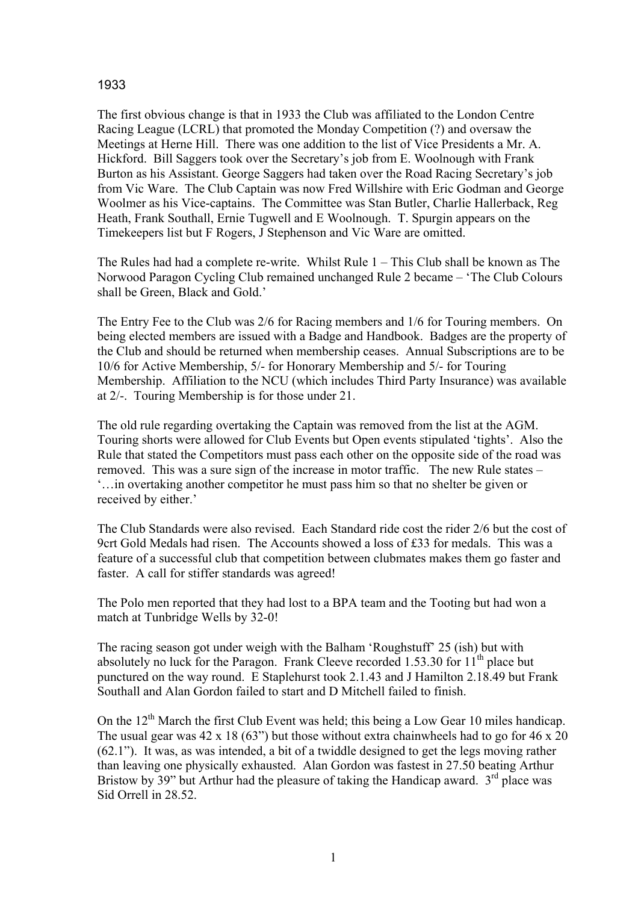## 1933

The first obvious change is that in 1933 the Club was affiliated to the London Centre Racing League (LCRL) that promoted the Monday Competition (?) and oversaw the Meetings at Herne Hill. There was one addition to the list of Vice Presidents a Mr. A. Hickford. Bill Saggers took over the Secretary's job from E. Woolnough with Frank Burton as his Assistant. George Saggers had taken over the Road Racing Secretary's job from Vic Ware. The Club Captain was now Fred Willshire with Eric Godman and George Woolmer as his Vice-captains. The Committee was Stan Butler, Charlie Hallerback, Reg Heath, Frank Southall, Ernie Tugwell and E Woolnough. T. Spurgin appears on the Timekeepers list but F Rogers, J Stephenson and Vic Ware are omitted.

The Rules had had a complete re-write. Whilst Rule 1 – This Club shall be known as The Norwood Paragon Cycling Club remained unchanged Rule 2 became – 'The Club Colours shall be Green, Black and Gold.'

The Entry Fee to the Club was 2/6 for Racing members and 1/6 for Touring members. On being elected members are issued with a Badge and Handbook. Badges are the property of the Club and should be returned when membership ceases. Annual Subscriptions are to be 10/6 for Active Membership, 5/- for Honorary Membership and 5/- for Touring Membership. Affiliation to the NCU (which includes Third Party Insurance) was available at 2/-. Touring Membership is for those under 21.

The old rule regarding overtaking the Captain was removed from the list at the AGM. Touring shorts were allowed for Club Events but Open events stipulated 'tights'. Also the Rule that stated the Competitors must pass each other on the opposite side of the road was removed. This was a sure sign of the increase in motor traffic. The new Rule states – '…in overtaking another competitor he must pass him so that no shelter be given or received by either.'

The Club Standards were also revised. Each Standard ride cost the rider 2/6 but the cost of 9crt Gold Medals had risen. The Accounts showed a loss of £33 for medals. This was a feature of a successful club that competition between clubmates makes them go faster and faster. A call for stiffer standards was agreed!

The Polo men reported that they had lost to a BPA team and the Tooting but had won a match at Tunbridge Wells by 32-0!

The racing season got under weigh with the Balham 'Roughstuff' 25 (ish) but with absolutely no luck for the Paragon. Frank Cleeve recorded 1.53.30 for  $11<sup>th</sup>$  place but punctured on the way round. E Staplehurst took 2.1.43 and J Hamilton 2.18.49 but Frank Southall and Alan Gordon failed to start and D Mitchell failed to finish.

On the  $12<sup>th</sup>$  March the first Club Event was held; this being a Low Gear 10 miles handicap. The usual gear was  $42 \times 18$  (63") but those without extra chainwheels had to go for  $46 \times 20$ (62.1"). It was, as was intended, a bit of a twiddle designed to get the legs moving rather than leaving one physically exhausted. Alan Gordon was fastest in 27.50 beating Arthur Bristow by 39" but Arthur had the pleasure of taking the Handicap award.  $3<sup>rd</sup>$  place was Sid Orrell in 28.52.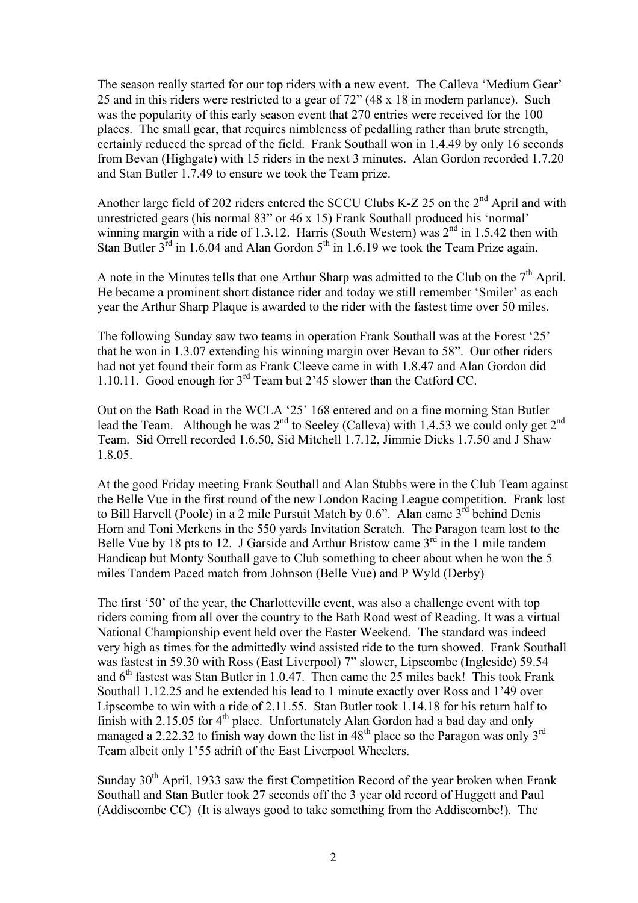The season really started for our top riders with a new event. The Calleva 'Medium Gear' 25 and in this riders were restricted to a gear of 72" (48 x 18 in modern parlance). Such was the popularity of this early season event that 270 entries were received for the 100 places. The small gear, that requires nimbleness of pedalling rather than brute strength, certainly reduced the spread of the field. Frank Southall won in 1.4.49 by only 16 seconds from Bevan (Highgate) with 15 riders in the next 3 minutes. Alan Gordon recorded 1.7.20 and Stan Butler 1.7.49 to ensure we took the Team prize.

Another large field of 202 riders entered the SCCU Clubs K-Z 25 on the 2<sup>nd</sup> April and with unrestricted gears (his normal 83" or 46 x 15) Frank Southall produced his 'normal' winning margin with a ride of 1.3.12. Harris (South Western) was  $2<sup>nd</sup>$  in 1.5.42 then with Stan Butler  $3^{\text{rd}}$  in 1.6.04 and Alan Gordon  $5^{\text{th}}$  in 1.6.19 we took the Team Prize again.

A note in the Minutes tells that one Arthur Sharp was admitted to the Club on the  $7<sup>th</sup>$  April. He became a prominent short distance rider and today we still remember 'Smiler' as each year the Arthur Sharp Plaque is awarded to the rider with the fastest time over 50 miles.

The following Sunday saw two teams in operation Frank Southall was at the Forest '25' that he won in 1.3.07 extending his winning margin over Bevan to 58". Our other riders had not yet found their form as Frank Cleeve came in with 1.8.47 and Alan Gordon did 1.10.11. Good enough for 3<sup>rd</sup> Team but 2'45 slower than the Catford CC.

Out on the Bath Road in the WCLA '25' 168 entered and on a fine morning Stan Butler lead the Team. Although he was  $2^{nd}$  to Seeley (Calleva) with 1.4.53 we could only get  $2^{nd}$ Team. Sid Orrell recorded 1.6.50, Sid Mitchell 1.7.12, Jimmie Dicks 1.7.50 and J Shaw 1.8.05.

At the good Friday meeting Frank Southall and Alan Stubbs were in the Club Team against the Belle Vue in the first round of the new London Racing League competition. Frank lost to Bill Harvell (Poole) in a 2 mile Pursuit Match by 0.6". Alan came 3<sup>rd</sup> behind Denis Horn and Toni Merkens in the 550 yards Invitation Scratch. The Paragon team lost to the Belle Vue by 18 pts to 12. J Garside and Arthur Bristow came 3<sup>rd</sup> in the 1 mile tandem Handicap but Monty Southall gave to Club something to cheer about when he won the 5 miles Tandem Paced match from Johnson (Belle Vue) and P Wyld (Derby)

The first '50' of the year, the Charlotteville event, was also a challenge event with top riders coming from all over the country to the Bath Road west of Reading. It was a virtual National Championship event held over the Easter Weekend. The standard was indeed very high as times for the admittedly wind assisted ride to the turn showed. Frank Southall was fastest in 59.30 with Ross (East Liverpool) 7" slower, Lipscombe (Ingleside) 59.54 and  $6<sup>th</sup>$  fastest was Stan Butler in 1.0.47. Then came the 25 miles back! This took Frank Southall 1.12.25 and he extended his lead to 1 minute exactly over Ross and 1'49 over Lipscombe to win with a ride of 2.11.55. Stan Butler took 1.14.18 for his return half to finish with 2.15.05 for  $4<sup>th</sup>$  place. Unfortunately Alan Gordon had a bad day and only managed a 2.22.32 to finish way down the list in  $48<sup>th</sup>$  place so the Paragon was only  $3<sup>rd</sup>$ Team albeit only 1'55 adrift of the East Liverpool Wheelers.

Sunday  $30<sup>th</sup>$  April, 1933 saw the first Competition Record of the year broken when Frank Southall and Stan Butler took 27 seconds off the 3 year old record of Huggett and Paul (Addiscombe CC) (It is always good to take something from the Addiscombe!). The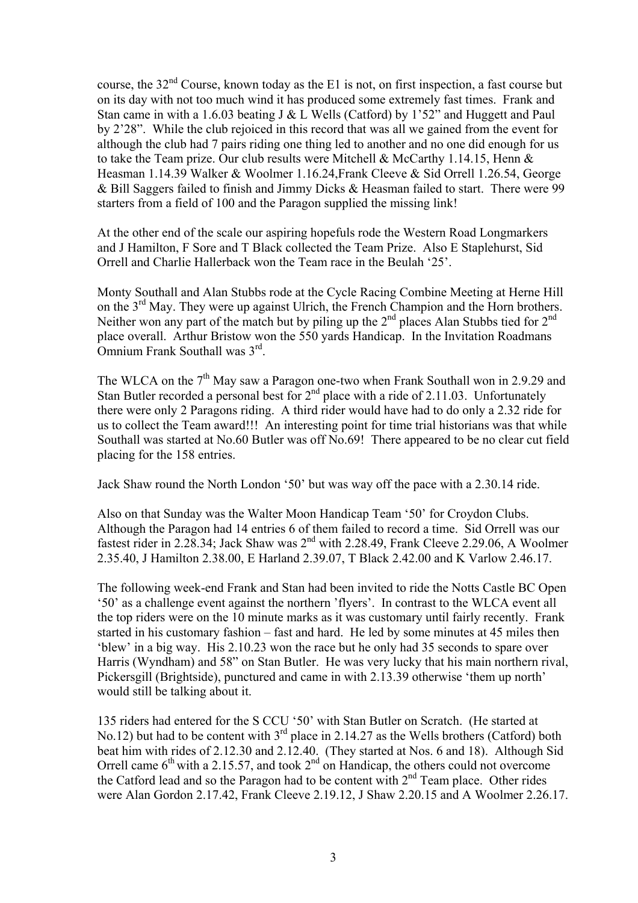course, the 32nd Course, known today as the E1 is not, on first inspection, a fast course but on its day with not too much wind it has produced some extremely fast times. Frank and Stan came in with a 1.6.03 beating J & L Wells (Catford) by 1'52" and Huggett and Paul by 2'28". While the club rejoiced in this record that was all we gained from the event for although the club had 7 pairs riding one thing led to another and no one did enough for us to take the Team prize. Our club results were Mitchell & McCarthy 1.14.15, Henn & Heasman 1.14.39 Walker & Woolmer 1.16.24,Frank Cleeve & Sid Orrell 1.26.54, George & Bill Saggers failed to finish and Jimmy Dicks & Heasman failed to start. There were 99 starters from a field of 100 and the Paragon supplied the missing link!

At the other end of the scale our aspiring hopefuls rode the Western Road Longmarkers and J Hamilton, F Sore and T Black collected the Team Prize. Also E Staplehurst, Sid Orrell and Charlie Hallerback won the Team race in the Beulah '25'.

Monty Southall and Alan Stubbs rode at the Cycle Racing Combine Meeting at Herne Hill on the 3<sup>rd</sup> May. They were up against Ulrich, the French Champion and the Horn brothers. Neither won any part of the match but by piling up the  $2<sup>nd</sup>$  places Alan Stubbs tied for  $2<sup>nd</sup>$ place overall. Arthur Bristow won the 550 yards Handicap. In the Invitation Roadmans Omnium Frank Southall was 3rd.

The WLCA on the  $7<sup>th</sup>$  May saw a Paragon one-two when Frank Southall won in 2.9.29 and Stan Butler recorded a personal best for  $2<sup>nd</sup>$  place with a ride of 2.11.03. Unfortunately there were only 2 Paragons riding. A third rider would have had to do only a 2.32 ride for us to collect the Team award!!! An interesting point for time trial historians was that while Southall was started at No.60 Butler was off No.69! There appeared to be no clear cut field placing for the 158 entries.

Jack Shaw round the North London '50' but was way off the pace with a 2.30.14 ride.

Also on that Sunday was the Walter Moon Handicap Team '50' for Croydon Clubs. Although the Paragon had 14 entries 6 of them failed to record a time. Sid Orrell was our fastest rider in 2.28.34; Jack Shaw was  $2<sup>nd</sup>$  with 2.28.49, Frank Cleeve 2.29.06, A Woolmer 2.35.40, J Hamilton 2.38.00, E Harland 2.39.07, T Black 2.42.00 and K Varlow 2.46.17.

The following week-end Frank and Stan had been invited to ride the Notts Castle BC Open '50' as a challenge event against the northern 'flyers'. In contrast to the WLCA event all the top riders were on the 10 minute marks as it was customary until fairly recently. Frank started in his customary fashion – fast and hard. He led by some minutes at 45 miles then 'blew' in a big way. His 2.10.23 won the race but he only had 35 seconds to spare over Harris (Wyndham) and 58" on Stan Butler. He was very lucky that his main northern rival, Pickersgill (Brightside), punctured and came in with 2.13.39 otherwise 'them up north' would still be talking about it.

135 riders had entered for the S CCU '50' with Stan Butler on Scratch. (He started at No.12) but had to be content with  $3<sup>rd</sup>$  place in 2.14.27 as the Wells brothers (Catford) both beat him with rides of 2.12.30 and 2.12.40. (They started at Nos. 6 and 18). Although Sid Orrell came 6<sup>th</sup> with a 2.15.57, and took 2<sup>nd</sup> on Handicap, the others could not overcome the Catford lead and so the Paragon had to be content with  $2<sup>nd</sup>$  Team place. Other rides were Alan Gordon 2.17.42, Frank Cleeve 2.19.12, J Shaw 2.20.15 and A Woolmer 2.26.17.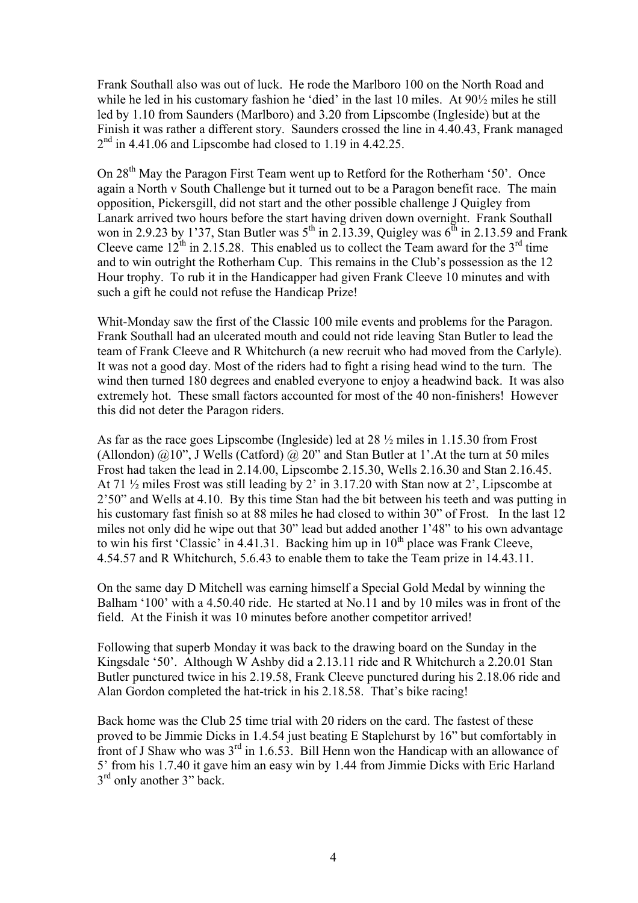Frank Southall also was out of luck. He rode the Marlboro 100 on the North Road and while he led in his customary fashion he 'died' in the last 10 miles. At 90½ miles he still led by 1.10 from Saunders (Marlboro) and 3.20 from Lipscombe (Ingleside) but at the Finish it was rather a different story. Saunders crossed the line in 4.40.43, Frank managed  $2<sup>nd</sup>$  in 4.41.06 and Lipscombe had closed to 1.19 in 4.42.25.

On 28th May the Paragon First Team went up to Retford for the Rotherham '50'. Once again a North v South Challenge but it turned out to be a Paragon benefit race. The main opposition, Pickersgill, did not start and the other possible challenge J Quigley from Lanark arrived two hours before the start having driven down overnight. Frank Southall won in 2.9.23 by 1'37, Stan Butler was  $5^{th}$  in 2.13.39, Quigley was  $6^{th}$  in 2.13.59 and Frank Cleeve came  $12^{th}$  in 2.15.28. This enabled us to collect the Team award for the 3<sup>rd</sup> time and to win outright the Rotherham Cup. This remains in the Club's possession as the 12 Hour trophy. To rub it in the Handicapper had given Frank Cleeve 10 minutes and with such a gift he could not refuse the Handicap Prize!

Whit-Monday saw the first of the Classic 100 mile events and problems for the Paragon. Frank Southall had an ulcerated mouth and could not ride leaving Stan Butler to lead the team of Frank Cleeve and R Whitchurch (a new recruit who had moved from the Carlyle). It was not a good day. Most of the riders had to fight a rising head wind to the turn. The wind then turned 180 degrees and enabled everyone to enjoy a headwind back. It was also extremely hot. These small factors accounted for most of the 40 non-finishers! However this did not deter the Paragon riders.

As far as the race goes Lipscombe (Ingleside) led at 28 ½ miles in 1.15.30 from Frost (Allondon)  $(2, 10)$ ", J Wells (Catford)  $(2, 20)$ " and Stan Butler at 1'. At the turn at 50 miles Frost had taken the lead in 2.14.00, Lipscombe 2.15.30, Wells 2.16.30 and Stan 2.16.45. At 71  $\frac{1}{2}$  miles Frost was still leading by 2 in 3.17.20 with Stan now at 2, Lipscombe at 2'50" and Wells at 4.10. By this time Stan had the bit between his teeth and was putting in his customary fast finish so at 88 miles he had closed to within 30" of Frost. In the last 12 miles not only did he wipe out that 30" lead but added another 1'48" to his own advantage to win his first 'Classic' in 4.41.31. Backing him up in  $10<sup>th</sup>$  place was Frank Cleeve, 4.54.57 and R Whitchurch, 5.6.43 to enable them to take the Team prize in 14.43.11.

On the same day D Mitchell was earning himself a Special Gold Medal by winning the Balham '100' with a 4.50.40 ride. He started at No.11 and by 10 miles was in front of the field. At the Finish it was 10 minutes before another competitor arrived!

Following that superb Monday it was back to the drawing board on the Sunday in the Kingsdale '50'. Although W Ashby did a 2.13.11 ride and R Whitchurch a 2.20.01 Stan Butler punctured twice in his 2.19.58, Frank Cleeve punctured during his 2.18.06 ride and Alan Gordon completed the hat-trick in his 2.18.58. That's bike racing!

Back home was the Club 25 time trial with 20 riders on the card. The fastest of these proved to be Jimmie Dicks in 1.4.54 just beating E Staplehurst by 16" but comfortably in front of J Shaw who was  $3^{rd}$  in 1.6.53. Bill Henn won the Handicap with an allowance of 5' from his 1.7.40 it gave him an easy win by 1.44 from Jimmie Dicks with Eric Harland 3<sup>rd</sup> only another 3" back.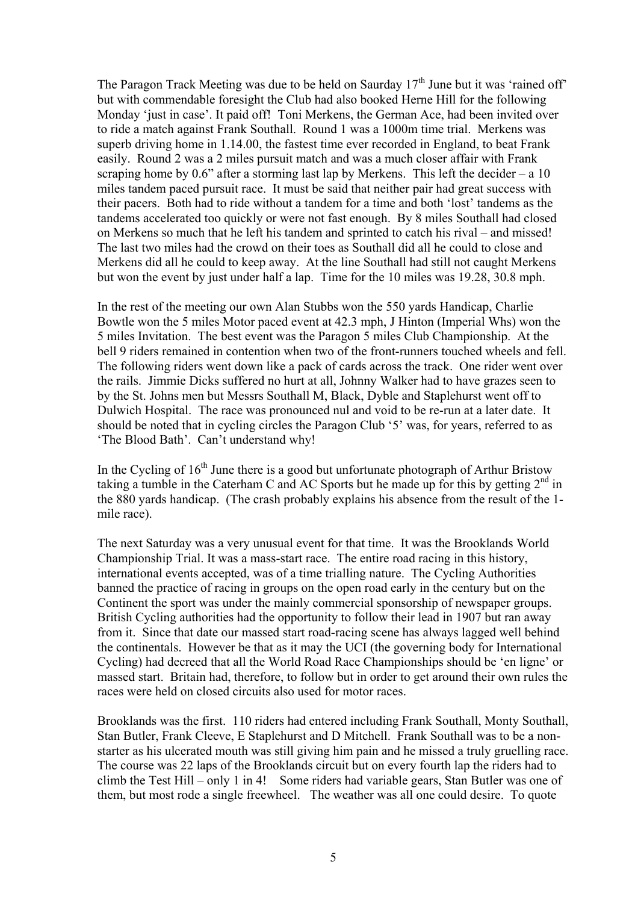The Paragon Track Meeting was due to be held on Saurday  $17<sup>th</sup>$  June but it was 'rained off' but with commendable foresight the Club had also booked Herne Hill for the following Monday 'just in case'. It paid off! Toni Merkens, the German Ace, had been invited over to ride a match against Frank Southall. Round 1 was a 1000m time trial. Merkens was superb driving home in 1.14.00, the fastest time ever recorded in England, to beat Frank easily. Round 2 was a 2 miles pursuit match and was a much closer affair with Frank scraping home by  $0.6$ " after a storming last lap by Merkens. This left the decider – a 10 miles tandem paced pursuit race. It must be said that neither pair had great success with their pacers. Both had to ride without a tandem for a time and both 'lost' tandems as the tandems accelerated too quickly or were not fast enough. By 8 miles Southall had closed on Merkens so much that he left his tandem and sprinted to catch his rival – and missed! The last two miles had the crowd on their toes as Southall did all he could to close and Merkens did all he could to keep away. At the line Southall had still not caught Merkens but won the event by just under half a lap. Time for the 10 miles was 19.28, 30.8 mph.

In the rest of the meeting our own Alan Stubbs won the 550 yards Handicap, Charlie Bowtle won the 5 miles Motor paced event at 42.3 mph, J Hinton (Imperial Whs) won the 5 miles Invitation. The best event was the Paragon 5 miles Club Championship. At the bell 9 riders remained in contention when two of the front-runners touched wheels and fell. The following riders went down like a pack of cards across the track. One rider went over the rails. Jimmie Dicks suffered no hurt at all, Johnny Walker had to have grazes seen to by the St. Johns men but Messrs Southall M, Black, Dyble and Staplehurst went off to Dulwich Hospital. The race was pronounced nul and void to be re-run at a later date. It should be noted that in cycling circles the Paragon Club '5' was, for years, referred to as 'The Blood Bath'. Can't understand why!

In the Cycling of  $16<sup>th</sup>$  June there is a good but unfortunate photograph of Arthur Bristow taking a tumble in the Caterham C and AC Sports but he made up for this by getting  $2<sup>nd</sup>$  in the 880 yards handicap. (The crash probably explains his absence from the result of the 1 mile race).

The next Saturday was a very unusual event for that time. It was the Brooklands World Championship Trial. It was a mass-start race. The entire road racing in this history, international events accepted, was of a time trialling nature. The Cycling Authorities banned the practice of racing in groups on the open road early in the century but on the Continent the sport was under the mainly commercial sponsorship of newspaper groups. British Cycling authorities had the opportunity to follow their lead in 1907 but ran away from it. Since that date our massed start road-racing scene has always lagged well behind the continentals. However be that as it may the UCI (the governing body for International Cycling) had decreed that all the World Road Race Championships should be 'en ligne' or massed start. Britain had, therefore, to follow but in order to get around their own rules the races were held on closed circuits also used for motor races.

Brooklands was the first. 110 riders had entered including Frank Southall, Monty Southall, Stan Butler, Frank Cleeve, E Staplehurst and D Mitchell. Frank Southall was to be a nonstarter as his ulcerated mouth was still giving him pain and he missed a truly gruelling race. The course was 22 laps of the Brooklands circuit but on every fourth lap the riders had to climb the Test Hill – only 1 in 4! Some riders had variable gears, Stan Butler was one of them, but most rode a single freewheel. The weather was all one could desire. To quote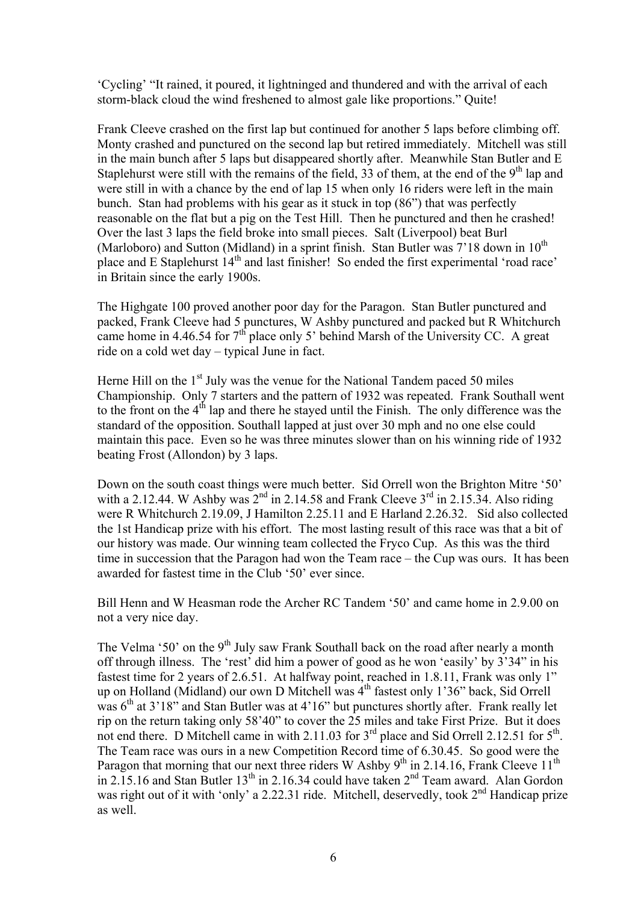'Cycling' "It rained, it poured, it lightninged and thundered and with the arrival of each storm-black cloud the wind freshened to almost gale like proportions." Quite!

Frank Cleeve crashed on the first lap but continued for another 5 laps before climbing off. Monty crashed and punctured on the second lap but retired immediately. Mitchell was still in the main bunch after 5 laps but disappeared shortly after. Meanwhile Stan Butler and E Staplehurst were still with the remains of the field, 33 of them, at the end of the  $9<sup>th</sup>$  lap and were still in with a chance by the end of lap 15 when only 16 riders were left in the main bunch. Stan had problems with his gear as it stuck in top (86") that was perfectly reasonable on the flat but a pig on the Test Hill. Then he punctured and then he crashed! Over the last 3 laps the field broke into small pieces. Salt (Liverpool) beat Burl (Marloboro) and Sutton (Midland) in a sprint finish. Stan Butler was  $7'18$  down in  $10^{th}$ place and E Staplehurst 14th and last finisher! So ended the first experimental 'road race' in Britain since the early 1900s.

The Highgate 100 proved another poor day for the Paragon. Stan Butler punctured and packed, Frank Cleeve had 5 punctures, W Ashby punctured and packed but R Whitchurch came home in 4.46.54 for  $7<sup>th</sup>$  place only 5' behind Marsh of the University CC. A great ride on a cold wet day – typical June in fact.

Herne Hill on the  $1<sup>st</sup>$  July was the venue for the National Tandem paced 50 miles Championship. Only 7 starters and the pattern of 1932 was repeated. Frank Southall went to the front on the 4<sup>th</sup> lap and there he stayed until the Finish. The only difference was the standard of the opposition. Southall lapped at just over 30 mph and no one else could maintain this pace. Even so he was three minutes slower than on his winning ride of 1932 beating Frost (Allondon) by 3 laps.

Down on the south coast things were much better. Sid Orrell won the Brighton Mitre '50' with a 2.12.44. W Ashby was  $2^{nd}$  in 2.14.58 and Frank Cleeve  $3^{rd}$  in 2.15.34. Also riding were R Whitchurch 2.19.09, J Hamilton 2.25.11 and E Harland 2.26.32. Sid also collected the 1st Handicap prize with his effort. The most lasting result of this race was that a bit of our history was made. Our winning team collected the Fryco Cup. As this was the third time in succession that the Paragon had won the Team race – the Cup was ours. It has been awarded for fastest time in the Club '50' ever since.

Bill Henn and W Heasman rode the Archer RC Tandem '50' and came home in 2.9.00 on not a very nice day.

The Velma '50' on the  $9<sup>th</sup>$  July saw Frank Southall back on the road after nearly a month off through illness. The 'rest' did him a power of good as he won 'easily' by 3'34" in his fastest time for 2 years of 2.6.51. At halfway point, reached in 1.8.11, Frank was only 1" up on Holland (Midland) our own D Mitchell was 4<sup>th</sup> fastest only 1'36" back, Sid Orrell was  $6<sup>th</sup>$  at 3'18" and Stan Butler was at 4'16" but punctures shortly after. Frank really let rip on the return taking only 58'40" to cover the 25 miles and take First Prize. But it does not end there. D Mitchell came in with 2.11.03 for 3<sup>rd</sup> place and Sid Orrell 2.12.51 for 5<sup>th</sup>. The Team race was ours in a new Competition Record time of 6.30.45. So good were the Paragon that morning that our next three riders W Ashby  $9^{th}$  in 2.14.16, Frank Cleeve 11<sup>th</sup> in 2.15.16 and Stan Butler  $13<sup>th</sup>$  in 2.16.34 could have taken  $2<sup>nd</sup>$  Team award. Alan Gordon was right out of it with 'only' a 2.22.31 ride. Mitchell, deservedly, took  $2<sup>nd</sup>$  Handicap prize as well.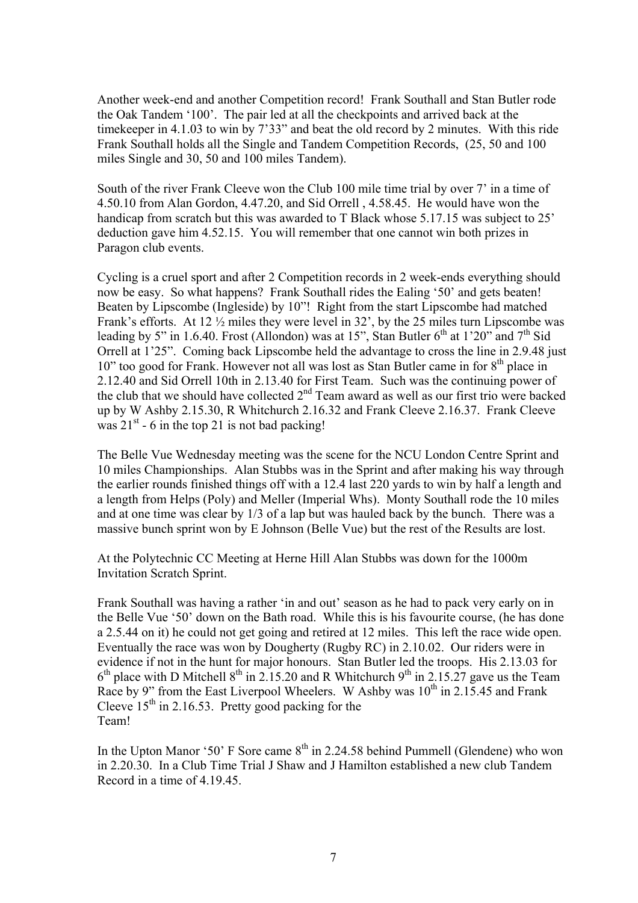Another week-end and another Competition record! Frank Southall and Stan Butler rode the Oak Tandem '100'. The pair led at all the checkpoints and arrived back at the timekeeper in 4.1.03 to win by 7'33" and beat the old record by 2 minutes. With this ride Frank Southall holds all the Single and Tandem Competition Records, (25, 50 and 100 miles Single and 30, 50 and 100 miles Tandem).

South of the river Frank Cleeve won the Club 100 mile time trial by over 7' in a time of 4.50.10 from Alan Gordon, 4.47.20, and Sid Orrell , 4.58.45. He would have won the handicap from scratch but this was awarded to T Black whose 5.17.15 was subject to 25' deduction gave him 4.52.15. You will remember that one cannot win both prizes in Paragon club events.

Cycling is a cruel sport and after 2 Competition records in 2 week-ends everything should now be easy. So what happens? Frank Southall rides the Ealing '50' and gets beaten! Beaten by Lipscombe (Ingleside) by 10"! Right from the start Lipscombe had matched Frank's efforts. At 12 ½ miles they were level in 32', by the 25 miles turn Lipscombe was leading by 5" in 1.6.40. Frost (Allondon) was at 15", Stan Butler  $6<sup>th</sup>$  at 1'20" and  $7<sup>th</sup>$  Sid Orrell at 1'25". Coming back Lipscombe held the advantage to cross the line in 2.9.48 just 10" too good for Frank. However not all was lost as Stan Butler came in for  $8<sup>th</sup>$  place in 2.12.40 and Sid Orrell 10th in 2.13.40 for First Team. Such was the continuing power of the club that we should have collected  $2<sup>nd</sup>$  Team award as well as our first trio were backed up by W Ashby 2.15.30, R Whitchurch 2.16.32 and Frank Cleeve 2.16.37. Frank Cleeve was  $21<sup>st</sup>$  - 6 in the top 21 is not bad packing!

The Belle Vue Wednesday meeting was the scene for the NCU London Centre Sprint and 10 miles Championships. Alan Stubbs was in the Sprint and after making his way through the earlier rounds finished things off with a 12.4 last 220 yards to win by half a length and a length from Helps (Poly) and Meller (Imperial Whs). Monty Southall rode the 10 miles and at one time was clear by 1/3 of a lap but was hauled back by the bunch. There was a massive bunch sprint won by E Johnson (Belle Vue) but the rest of the Results are lost.

At the Polytechnic CC Meeting at Herne Hill Alan Stubbs was down for the 1000m Invitation Scratch Sprint.

Frank Southall was having a rather 'in and out' season as he had to pack very early on in the Belle Vue '50' down on the Bath road. While this is his favourite course, (he has done a 2.5.44 on it) he could not get going and retired at 12 miles. This left the race wide open. Eventually the race was won by Dougherty (Rugby RC) in 2.10.02. Our riders were in evidence if not in the hunt for major honours. Stan Butler led the troops. His 2.13.03 for  $6<sup>th</sup>$  place with D Mitchell  $8<sup>th</sup>$  in 2.15.20 and R Whitchurch  $9<sup>th</sup>$  in 2.15.27 gave us the Team Race by 9" from the East Liverpool Wheelers. W Ashby was  $10^{th}$  in 2.15.45 and Frank Cleeve  $15<sup>th</sup>$  in 2.16.53. Pretty good packing for the Team!

In the Upton Manor '50' F Sore came  $8<sup>th</sup>$  in 2.24.58 behind Pummell (Glendene) who won in 2.20.30. In a Club Time Trial J Shaw and J Hamilton established a new club Tandem Record in a time of 4.19.45.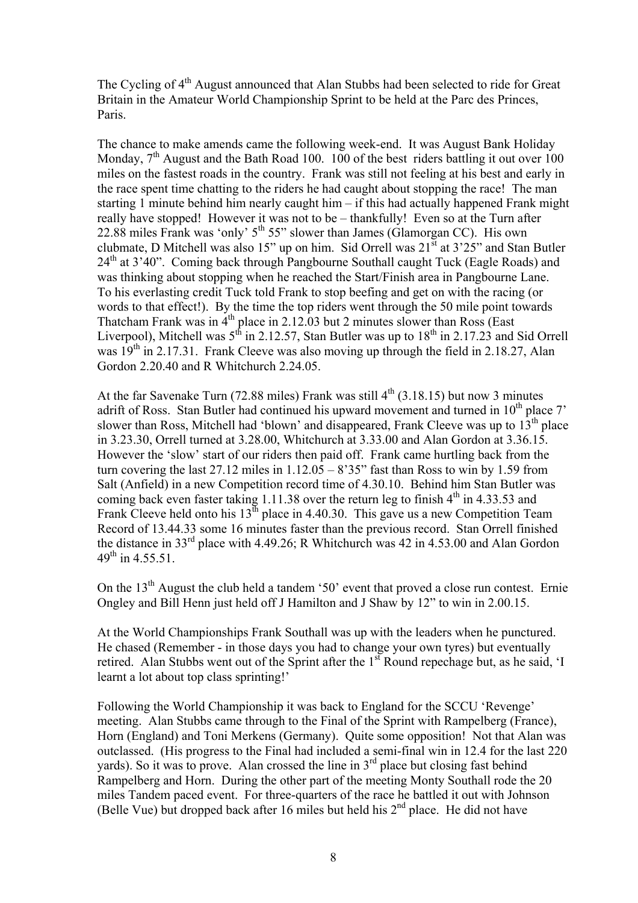The Cycling of 4<sup>th</sup> August announced that Alan Stubbs had been selected to ride for Great Britain in the Amateur World Championship Sprint to be held at the Parc des Princes, Paris.

The chance to make amends came the following week-end. It was August Bank Holiday Monday,  $7<sup>th</sup>$  August and the Bath Road 100. 100 of the best riders battling it out over 100 miles on the fastest roads in the country. Frank was still not feeling at his best and early in the race spent time chatting to the riders he had caught about stopping the race! The man starting 1 minute behind him nearly caught him – if this had actually happened Frank might really have stopped! However it was not to be – thankfully! Even so at the Turn after 22.88 miles Frank was 'only'  $5<sup>th</sup> 55$ " slower than James (Glamorgan CC). His own clubmate, D Mitchell was also 15" up on him. Sid Orrell was  $21<sup>st</sup>$  at  $3'25'$  and Stan Butler 24<sup>th</sup> at 3'40". Coming back through Pangbourne Southall caught Tuck (Eagle Roads) and was thinking about stopping when he reached the Start/Finish area in Pangbourne Lane. To his everlasting credit Tuck told Frank to stop beefing and get on with the racing (or words to that effect!). By the time the top riders went through the 50 mile point towards Thatcham Frank was in  $4<sup>th</sup>$  place in 2.12.03 but 2 minutes slower than Ross (East Liverpool), Mitchell was  $5<sup>th</sup>$  in 2.12.57, Stan Butler was up to  $18<sup>th</sup>$  in 2.17.23 and Sid Orrell was  $19<sup>th</sup>$  in 2.17.31. Frank Cleeve was also moving up through the field in 2.18.27, Alan Gordon 2.20.40 and R Whitchurch 2.24.05.

At the far Savenake Turn (72.88 miles) Frank was still  $4<sup>th</sup>$  (3.18.15) but now 3 minutes adrift of Ross. Stan Butler had continued his upward movement and turned in 10<sup>th</sup> place 7' slower than Ross, Mitchell had 'blown' and disappeared, Frank Cleeve was up to  $13<sup>th</sup>$  place in 3.23.30, Orrell turned at 3.28.00, Whitchurch at 3.33.00 and Alan Gordon at 3.36.15. However the 'slow' start of our riders then paid off. Frank came hurtling back from the turn covering the last  $27.12$  miles in  $1.12.05 - 8^\circ 35$ " fast than Ross to win by 1.59 from Salt (Anfield) in a new Competition record time of 4.30.10. Behind him Stan Butler was coming back even faster taking 1.11.38 over the return leg to finish  $4<sup>th</sup>$  in 4.33.53 and Frank Cleeve held onto his  $13^{\text{th}}$  place in 4.40.30. This gave us a new Competition Team Record of 13.44.33 some 16 minutes faster than the previous record. Stan Orrell finished the distance in 33rd place with 4.49.26; R Whitchurch was 42 in 4.53.00 and Alan Gordon 49<sup>th</sup> in 4.55.51.

On the  $13<sup>th</sup>$  August the club held a tandem '50' event that proved a close run contest. Ernie Ongley and Bill Henn just held off J Hamilton and J Shaw by 12" to win in 2.00.15.

At the World Championships Frank Southall was up with the leaders when he punctured. He chased (Remember - in those days you had to change your own tyres) but eventually retired. Alan Stubbs went out of the Sprint after the 1<sup>st</sup> Round repechage but, as he said, 'I learnt a lot about top class sprinting!'

Following the World Championship it was back to England for the SCCU 'Revenge' meeting. Alan Stubbs came through to the Final of the Sprint with Rampelberg (France), Horn (England) and Toni Merkens (Germany). Quite some opposition! Not that Alan was outclassed. (His progress to the Final had included a semi-final win in 12.4 for the last 220 yards). So it was to prove. Alan crossed the line in  $3<sup>rd</sup>$  place but closing fast behind Rampelberg and Horn. During the other part of the meeting Monty Southall rode the 20 miles Tandem paced event. For three-quarters of the race he battled it out with Johnson (Belle Vue) but dropped back after 16 miles but held his  $2<sup>nd</sup>$  place. He did not have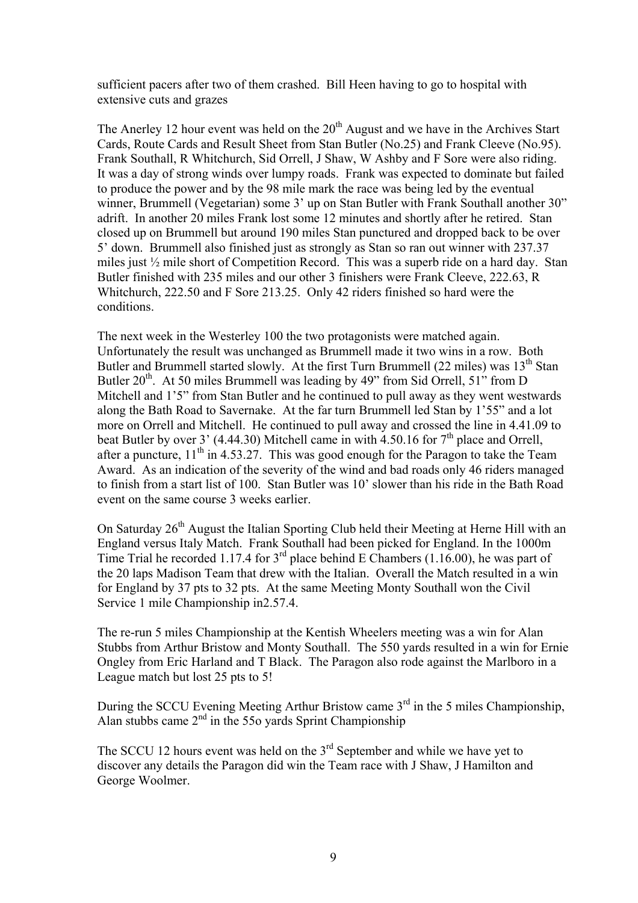sufficient pacers after two of them crashed. Bill Heen having to go to hospital with extensive cuts and grazes

The Anerley 12 hour event was held on the  $20<sup>th</sup>$  August and we have in the Archives Start Cards, Route Cards and Result Sheet from Stan Butler (No.25) and Frank Cleeve (No.95). Frank Southall, R Whitchurch, Sid Orrell, J Shaw, W Ashby and F Sore were also riding. It was a day of strong winds over lumpy roads. Frank was expected to dominate but failed to produce the power and by the 98 mile mark the race was being led by the eventual winner, Brummell (Vegetarian) some 3' up on Stan Butler with Frank Southall another 30" adrift. In another 20 miles Frank lost some 12 minutes and shortly after he retired. Stan closed up on Brummell but around 190 miles Stan punctured and dropped back to be over 5' down. Brummell also finished just as strongly as Stan so ran out winner with 237.37 miles just ½ mile short of Competition Record. This was a superb ride on a hard day. Stan Butler finished with 235 miles and our other 3 finishers were Frank Cleeve, 222.63, R Whitchurch, 222.50 and F Sore 213.25. Only 42 riders finished so hard were the conditions.

The next week in the Westerley 100 the two protagonists were matched again. Unfortunately the result was unchanged as Brummell made it two wins in a row. Both Butler and Brummell started slowly. At the first Turn Brummell (22 miles) was  $13<sup>th</sup>$  Stan Butler  $20^{th}$ . At 50 miles Brummell was leading by 49" from Sid Orrell, 51" from D Mitchell and 1'5" from Stan Butler and he continued to pull away as they went westwards along the Bath Road to Savernake. At the far turn Brummell led Stan by 1'55" and a lot more on Orrell and Mitchell. He continued to pull away and crossed the line in 4.41.09 to beat Butler by over 3' (4.44.30) Mitchell came in with  $4.50.16$  for  $7<sup>th</sup>$  place and Orrell, after a puncture,  $11<sup>th</sup>$  in 4.53.27. This was good enough for the Paragon to take the Team Award. As an indication of the severity of the wind and bad roads only 46 riders managed to finish from a start list of 100. Stan Butler was 10' slower than his ride in the Bath Road event on the same course 3 weeks earlier.

On Saturday 26<sup>th</sup> August the Italian Sporting Club held their Meeting at Herne Hill with an England versus Italy Match. Frank Southall had been picked for England. In the 1000m Time Trial he recorded 1.17.4 for  $3<sup>rd</sup>$  place behind E Chambers (1.16.00), he was part of the 20 laps Madison Team that drew with the Italian. Overall the Match resulted in a win for England by 37 pts to 32 pts. At the same Meeting Monty Southall won the Civil Service 1 mile Championship in2.57.4.

The re-run 5 miles Championship at the Kentish Wheelers meeting was a win for Alan Stubbs from Arthur Bristow and Monty Southall. The 550 yards resulted in a win for Ernie Ongley from Eric Harland and T Black. The Paragon also rode against the Marlboro in a League match but lost 25 pts to 5!

During the SCCU Evening Meeting Arthur Bristow came 3<sup>rd</sup> in the 5 miles Championship, Alan stubbs came  $2<sup>nd</sup>$  in the 550 yards Sprint Championship

The SCCU 12 hours event was held on the  $3<sup>rd</sup>$  September and while we have yet to discover any details the Paragon did win the Team race with J Shaw, J Hamilton and George Woolmer.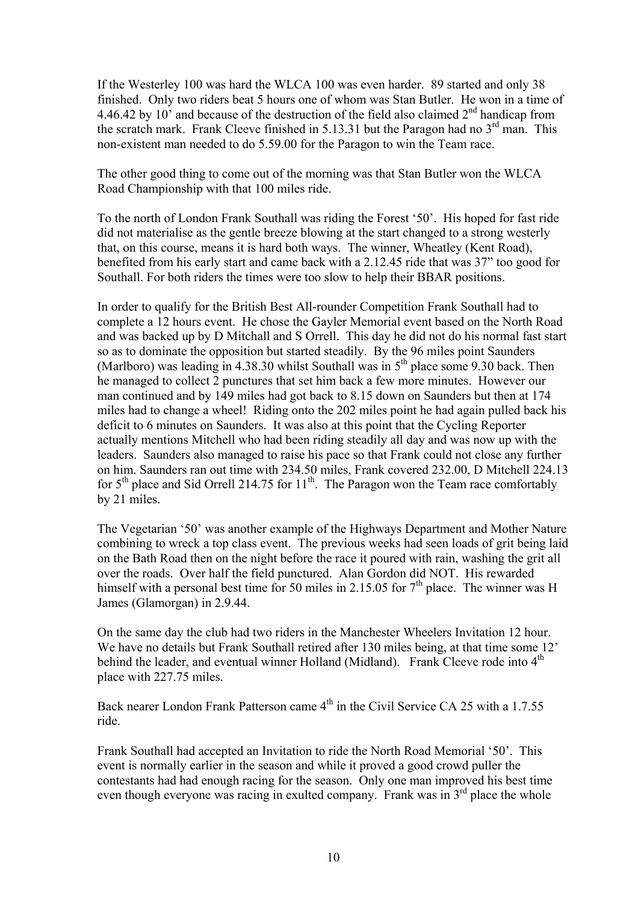If the Westerley 100 was hard the WLCA 100 was even harder. 89 started and only 38 finished. Only two riders beat 5 hours one of whom was Stan Butler. He won in a time of 4.46.42 by 10' and because of the destruction of the field also claimed 2<sup>nd</sup> handicap from the scratch mark. Frank Cleeve finished in 5.13.31 but the Paragon had no  $3<sup>rd</sup>$  man. This non-existent man needed to do 5.59.00 for the Paragon to win the Team race.

The other good thing to come out of the morning was that Stan Butler won the WLCA Road Championship with that 100 miles ride.

To the north of London Frank Southall was riding the Forest '50'. His hoped for fast ride did not materialise as the gentle breeze blowing at the start changed to a strong westerly that, on this course, means it is hard both ways. The winner, Wheatley (Kent Road), benefited from his early start and came back with a 2.12.45 ride that was 37" too good for Southall. For both riders the times were too slow to help their BBAR positions.

In order to qualify for the British Best All-rounder Competition Frank Southall had to complete a 12 hours event. He chose the Gayler Memorial event based on the North Road and was backed up by D Mitchall and S Orrell. This day he did not do his normal fast start so as to dominate the opposition but started steadily. By the 96 miles point Saunders (Marlboro) was leading in 4.38.30 whilst Southall was in  $5<sup>th</sup>$  place some 9.30 back. Then he managed to collect 2 punctures that set him back a few more minutes. However our man continued and by 149 miles had got back to 8.15 down on Saunders but then at 174 miles had to change a wheel! Riding onto the 202 miles point he had again pulled back his deficit to 6 minutes on Saunders. It was also at this point that the Cycling Reporter actually mentions Mitchell who had been riding steadily all day and was now up with the leaders. Saunders also managed to raise his pace so that Frank could not close any further on him. Saunders ran out time with 234.50 miles, Frank covered 232.00, D Mitchell 224.13 for  $5<sup>th</sup>$  place and Sid Orrell 214.75 for 11<sup>th</sup>. The Paragon won the Team race comfortably by 21 miles.

The Vegetarian '50' was another example of the Highways Department and Mother Nature combining to wreck a top class event. The previous weeks had seen loads of grit being laid on the Bath Road then on the night before the race it poured with rain, washing the grit all over the roads. Over half the field punctured. Alan Gordon did NOT. His rewarded himself with a personal best time for 50 miles in 2.15.05 for 7<sup>th</sup> place. The winner was H James (Glamorgan) in 2.9.44.

On the same day the club had two riders in the Manchester Wheelers Invitation 12 hour. We have no details but Frank Southall retired after 130 miles being, at that time some 12' behind the leader, and eventual winner Holland (Midland). Frank Cleeve rode into 4<sup>th</sup> place with 227.75 miles.

Back nearer London Frank Patterson came 4<sup>th</sup> in the Civil Service CA 25 with a 1.7.55 ride.

Frank Southall had accepted an Invitation to ride the North Road Memorial '50'. This event is normally earlier in the season and while it proved a good crowd puller the contestants had had enough racing for the season. Only one man improved his best time even though everyone was racing in exulted company. Frank was in  $3<sup>rd</sup>$  place the whole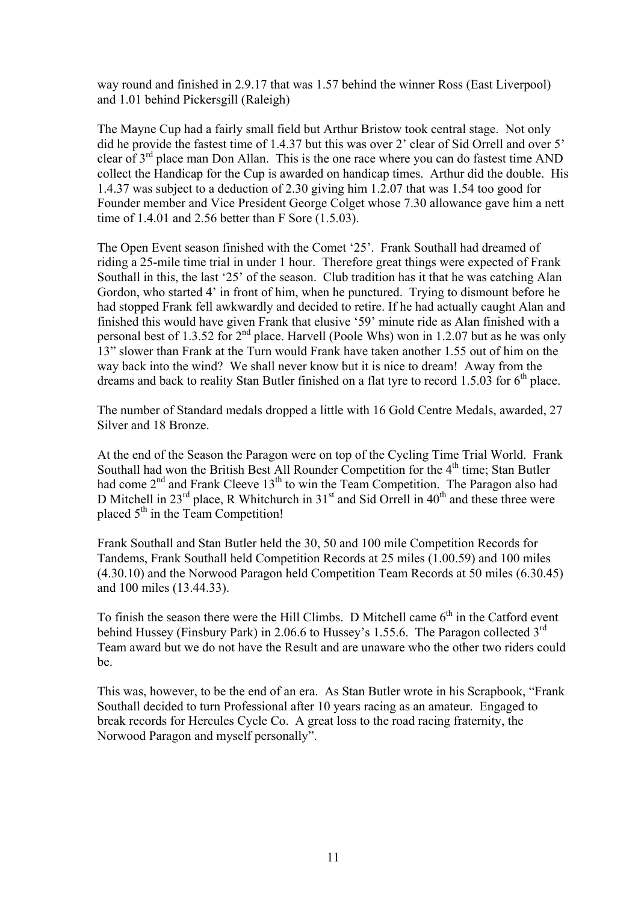way round and finished in 2.9.17 that was 1.57 behind the winner Ross (East Liverpool) and 1.01 behind Pickersgill (Raleigh)

The Mayne Cup had a fairly small field but Arthur Bristow took central stage. Not only did he provide the fastest time of 1.4.37 but this was over 2' clear of Sid Orrell and over 5' clear of  $3<sup>rd</sup>$  place man Don Allan. This is the one race where you can do fastest time AND collect the Handicap for the Cup is awarded on handicap times. Arthur did the double. His 1.4.37 was subject to a deduction of 2.30 giving him 1.2.07 that was 1.54 too good for Founder member and Vice President George Colget whose 7.30 allowance gave him a nett time of 1.4.01 and 2.56 better than F Sore (1.5.03).

The Open Event season finished with the Comet '25'. Frank Southall had dreamed of riding a 25-mile time trial in under 1 hour. Therefore great things were expected of Frank Southall in this, the last '25' of the season. Club tradition has it that he was catching Alan Gordon, who started 4' in front of him, when he punctured. Trying to dismount before he had stopped Frank fell awkwardly and decided to retire. If he had actually caught Alan and finished this would have given Frank that elusive '59' minute ride as Alan finished with a personal best of 1.3.52 for  $2<sup>nd</sup>$  place. Harvell (Poole Whs) won in 1.2.07 but as he was only 13" slower than Frank at the Turn would Frank have taken another 1.55 out of him on the way back into the wind? We shall never know but it is nice to dream! Away from the dreams and back to reality Stan Butler finished on a flat tyre to record  $1.5.03$  for  $6<sup>th</sup>$  place.

The number of Standard medals dropped a little with 16 Gold Centre Medals, awarded, 27 Silver and 18 Bronze.

At the end of the Season the Paragon were on top of the Cycling Time Trial World. Frank Southall had won the British Best All Rounder Competition for the 4<sup>th</sup> time; Stan Butler had come 2<sup>nd</sup> and Frank Cleeve 13<sup>th</sup> to win the Team Competition. The Paragon also had D Mitchell in  $23<sup>rd</sup>$  place, R Whitchurch in  $31<sup>st</sup>$  and Sid Orrell in  $40<sup>th</sup>$  and these three were placed  $5<sup>th</sup>$  in the Team Competition!

Frank Southall and Stan Butler held the 30, 50 and 100 mile Competition Records for Tandems, Frank Southall held Competition Records at 25 miles (1.00.59) and 100 miles (4.30.10) and the Norwood Paragon held Competition Team Records at 50 miles (6.30.45) and 100 miles (13.44.33).

To finish the season there were the Hill Climbs. D Mitchell came  $6<sup>th</sup>$  in the Catford event behind Hussey (Finsbury Park) in 2.06.6 to Hussey's 1.55.6. The Paragon collected 3<sup>rd</sup> Team award but we do not have the Result and are unaware who the other two riders could be.

This was, however, to be the end of an era. As Stan Butler wrote in his Scrapbook, "Frank Southall decided to turn Professional after 10 years racing as an amateur. Engaged to break records for Hercules Cycle Co. A great loss to the road racing fraternity, the Norwood Paragon and myself personally".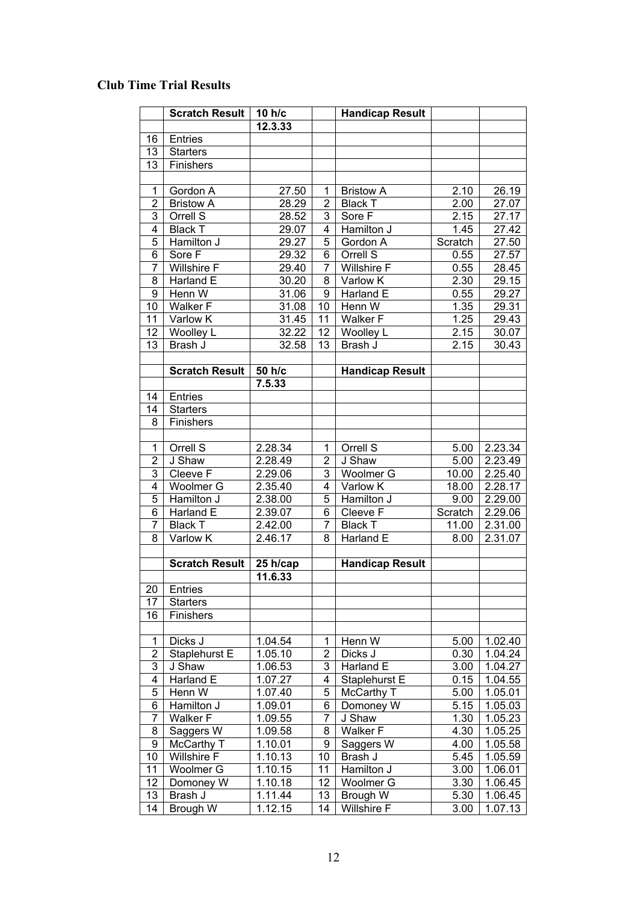## **Club Time Trial Results**

|                         | <b>Scratch Result</b> | 10 h/c   |                | <b>Handicap Result</b> |         |         |
|-------------------------|-----------------------|----------|----------------|------------------------|---------|---------|
|                         |                       | 12.3.33  |                |                        |         |         |
| 16                      | <b>Entries</b>        |          |                |                        |         |         |
| 13                      | <b>Starters</b>       |          |                |                        |         |         |
| 13                      | Finishers             |          |                |                        |         |         |
|                         |                       |          |                |                        |         |         |
| 1                       | Gordon A              | 27.50    | 1              | <b>Bristow A</b>       | 2.10    | 26.19   |
| $\overline{2}$          | <b>Bristow A</b>      | 28.29    | 2              | <b>Black T</b>         | 2.00    | 27.07   |
| 3                       | Orrell S              | 28.52    | 3              | Sore F                 | 2.15    | 27.17   |
| 4                       | <b>Black T</b>        | 29.07    | 4              | Hamilton J             | 1.45    | 27.42   |
| 5                       | Hamilton J            | 29.27    | 5              | Gordon A               | Scratch | 27.50   |
| 6                       | Sore F                | 29.32    | 6              | Orrell S               | 0.55    | 27.57   |
| 7                       | Willshire F           | 29.40    | 7              | Willshire F            | 0.55    | 28.45   |
| 8                       | Harland E             | 30.20    | 8              | Varlow K               | 2.30    | 29.15   |
| 9                       | Henn W                | 31.06    | 9              | Harland E              | 0.55    | 29.27   |
| 10                      | <b>Walker F</b>       | 31.08    | 10             | Henn W                 | 1.35    | 29.31   |
| 11                      | Varlow K              | 31.45    | 11             | <b>Walker F</b>        | 1.25    | 29.43   |
| 12                      | Woolley L             | 32.22    | 12             | Woolley L              | 2.15    | 30.07   |
| 13                      | Brash J               | 32.58    | 13             | Brash J                | 2.15    | 30.43   |
|                         |                       |          |                |                        |         |         |
|                         | <b>Scratch Result</b> | 50 h/c   |                | <b>Handicap Result</b> |         |         |
|                         |                       | 7.5.33   |                |                        |         |         |
| 14                      | Entries               |          |                |                        |         |         |
| 14                      | <b>Starters</b>       |          |                |                        |         |         |
| 8                       | Finishers             |          |                |                        |         |         |
|                         |                       |          |                |                        |         |         |
| 1                       | Orrell S              | 2.28.34  | 1              | Orrell S               | 5.00    | 2.23.34 |
| $\overline{2}$          | J Shaw                | 2.28.49  | $\overline{2}$ | J Shaw                 | 5.00    | 2.23.49 |
| 3                       | Cleeve $\overline{F}$ | 2.29.06  | 3              | Woolmer G              | 10.00   | 2.25.40 |
| 4                       | Woolmer G             | 2.35.40  | 4              | Varlow K               | 18.00   | 2.28.17 |
| 5                       | Hamilton J            | 2.38.00  | 5              | Hamilton J             | 9.00    | 2.29.00 |
| 6                       | Harland E             | 2.39.07  | 6              | Cleeve F               | Scratch | 2.29.06 |
| 7                       | <b>Black T</b>        | 2.42.00  | 7              | <b>Black T</b>         | 11.00   | 2.31.00 |
| 8                       | Varlow K              | 2.46.17  | 8              | Harland E              | 8.00    | 2.31.07 |
|                         |                       |          |                |                        |         |         |
|                         | <b>Scratch Result</b> | 25 h/cap |                | <b>Handicap Result</b> |         |         |
|                         |                       | 11.6.33  |                |                        |         |         |
| 20                      | Entries               |          |                |                        |         |         |
| 17                      | <b>Starters</b>       |          |                |                        |         |         |
| 16                      | Finishers             |          |                |                        |         |         |
|                         |                       |          |                |                        |         |         |
| 1                       | Dicks J               | 1.04.54  | 1              | Henn W                 | 5.00    | 1.02.40 |
| $\overline{\mathbf{c}}$ | Staplehurst E         | 1.05.10  | 2              | Dicks J                | 0.30    | 1.04.24 |
| 3                       | J Shaw                | 1.06.53  | 3              | Harland E              | 3.00    | 1.04.27 |
| 4                       | Harland E             | 1.07.27  | 4              | Staplehurst E          | 0.15    | 1.04.55 |
| 5                       | Henn W                | 1.07.40  | 5              | McCarthy T             | 5.00    | 1.05.01 |
| 6                       | Hamilton J            | 1.09.01  | 6              | Domoney W              | 5.15    | 1.05.03 |
| $\overline{7}$          | <b>Walker F</b>       | 1.09.55  | 7              | J Shaw                 | 1.30    | 1.05.23 |
| 8                       | Saggers W             | 1.09.58  | 8              | Walker F               | 4.30    | 1.05.25 |
| 9                       | McCarthy T            | 1.10.01  | 9              | Saggers W              | 4.00    | 1.05.58 |
| 10                      | Willshire F           | 1.10.13  | 10             | Brash J                | 5.45    | 1.05.59 |
| 11                      | Woolmer G             | 1.10.15  | 11             | Hamilton J             | 3.00    | 1.06.01 |
| 12                      | Domoney W             | 1.10.18  | 12             | Woolmer G              | 3.30    | 1.06.45 |
| 13                      | Brash J               | 1.11.44  | 13             | Brough W               | 5.30    | 1.06.45 |
| 14                      | Brough W              | 1.12.15  | 14             | Willshire F            | 3.00    | 1.07.13 |